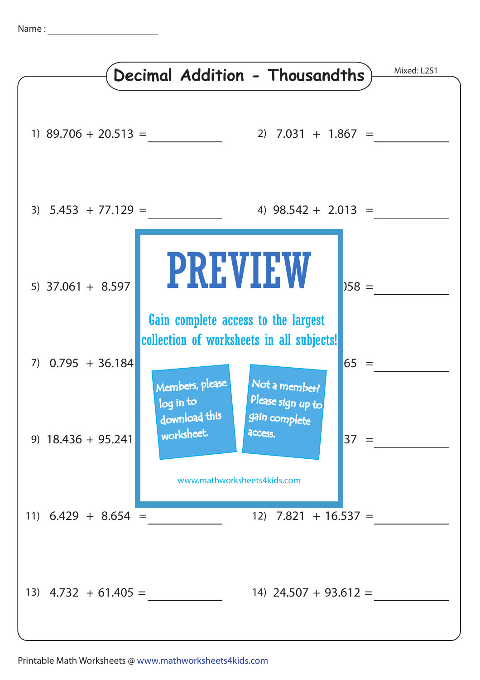